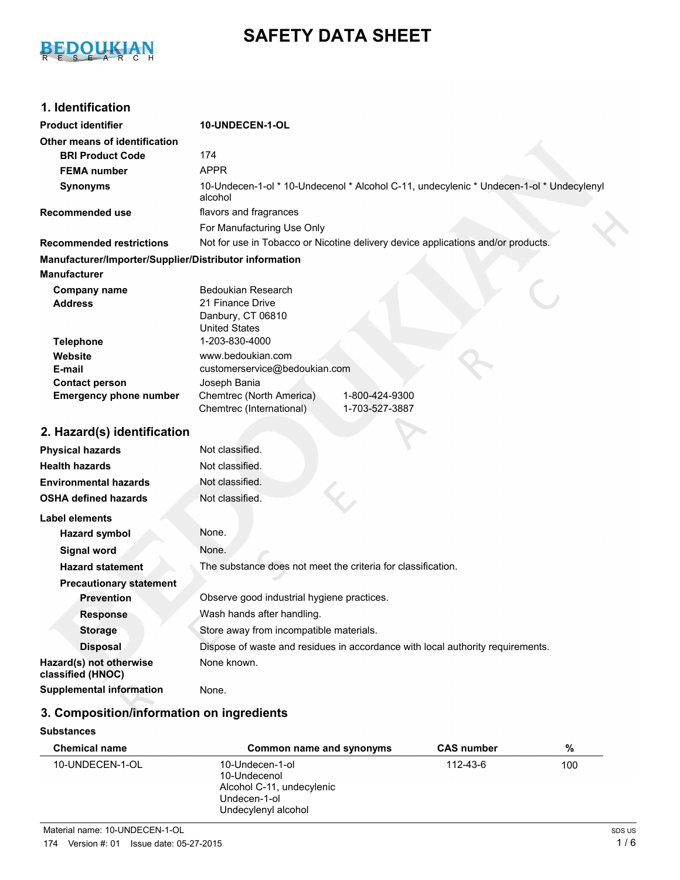

# **SAFETY DATA SHEET**

## **1. Identification**

| <b>Product identifier</b>                              | 10-UNDECEN-1-OL                                                                                    |  |
|--------------------------------------------------------|----------------------------------------------------------------------------------------------------|--|
| Other means of identification                          |                                                                                                    |  |
| <b>BRI Product Code</b>                                | 174                                                                                                |  |
| <b>FEMA number</b>                                     | <b>APPR</b>                                                                                        |  |
| <b>Synonyms</b>                                        | 10-Undecen-1-ol * 10-Undecenol * Alcohol C-11, undecylenic * Undecen-1-ol * Undecylenyl<br>alcohol |  |
| <b>Recommended use</b>                                 | flavors and fragrances                                                                             |  |
|                                                        | For Manufacturing Use Only                                                                         |  |
| <b>Recommended restrictions</b>                        | Not for use in Tobacco or Nicotine delivery device applications and/or products.                   |  |
| Manufacturer/Importer/Supplier/Distributor information |                                                                                                    |  |
| <b>Manufacturer</b>                                    |                                                                                                    |  |
| Company name<br><b>Address</b>                         | <b>Bedoukian Research</b><br>21 Finance Drive<br>Danbury, CT 06810<br><b>United States</b>         |  |
| <b>Telephone</b>                                       | 1-203-830-4000                                                                                     |  |
| Website                                                | www.bedoukian.com                                                                                  |  |
| E-mail                                                 | customerservice@bedoukian.com                                                                      |  |
| <b>Contact person</b><br><b>Emergency phone number</b> | Joseph Bania<br>1-800-424-9300<br>Chemtrec (North America)                                         |  |
|                                                        | Chemtrec (International)<br>1-703-527-3887                                                         |  |
| 2. Hazard(s) identification                            |                                                                                                    |  |
| <b>Physical hazards</b>                                | Not classified.                                                                                    |  |
| <b>Health hazards</b>                                  | Not classified.                                                                                    |  |
| <b>Environmental hazards</b>                           | Not classified.                                                                                    |  |
| <b>OSHA defined hazards</b>                            | Not classified.                                                                                    |  |
| <b>Label elements</b>                                  |                                                                                                    |  |
| <b>Hazard symbol</b>                                   | None.                                                                                              |  |
| <b>Signal word</b>                                     | None.                                                                                              |  |
| <b>Hazard statement</b>                                | The substance does not meet the criteria for classification.                                       |  |
| <b>Precautionary statement</b>                         |                                                                                                    |  |
| <b>Prevention</b>                                      | Observe good industrial hygiene practices.                                                         |  |
| <b>Response</b>                                        | Wash hands after handling.                                                                         |  |
| <b>Storage</b>                                         | Store away from incompatible materials.                                                            |  |
| <b>Disposal</b>                                        | Dispose of waste and residues in accordance with local authority requirements.                     |  |
| Hazard(s) not otherwise<br>classified (HNOC)           | None known.                                                                                        |  |
| <b>Supplemental information</b>                        | None.                                                                                              |  |
|                                                        |                                                                                                    |  |

## **3. Composition/information on ingredients**

#### **Substances**

| <b>Chemical name</b> | Common name and synonyms                                                                            | <b>CAS number</b> | %   |
|----------------------|-----------------------------------------------------------------------------------------------------|-------------------|-----|
| 10-UNDECEN-1-OL      | 10-Undecen-1-ol<br>10-Undecenol<br>Alcohol C-11, undecylenic<br>Undecen-1-ol<br>Undecylenyl alcohol | 112-43-6          | 100 |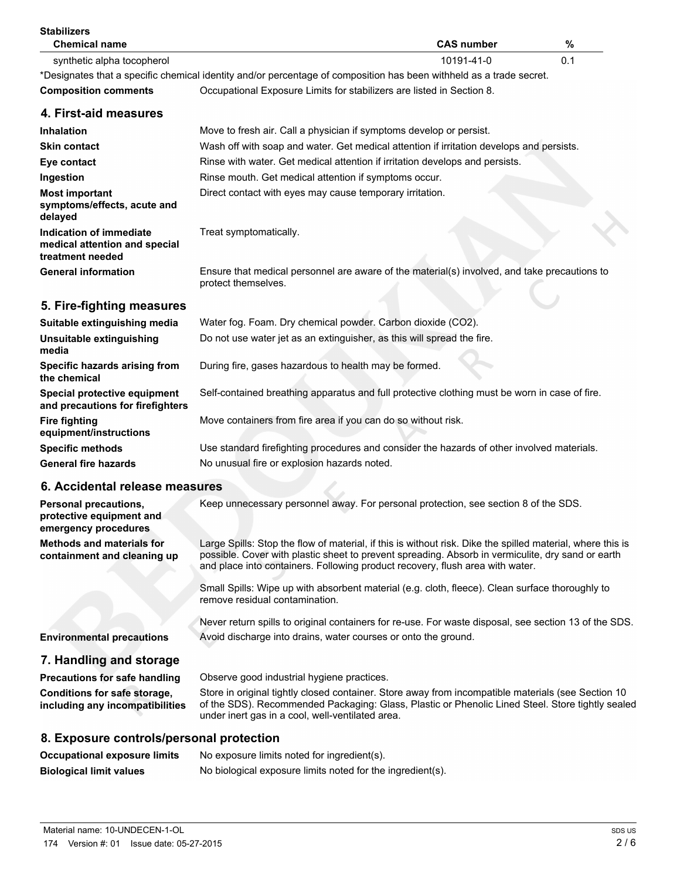| <b>Stabilizers</b><br><b>Chemical name</b>                                   | <b>CAS number</b><br>%                                                                                                                                                                                                                                                                           |
|------------------------------------------------------------------------------|--------------------------------------------------------------------------------------------------------------------------------------------------------------------------------------------------------------------------------------------------------------------------------------------------|
| synthetic alpha tocopherol                                                   | 0.1<br>10191-41-0                                                                                                                                                                                                                                                                                |
|                                                                              | *Designates that a specific chemical identity and/or percentage of composition has been withheld as a trade secret.                                                                                                                                                                              |
| <b>Composition comments</b>                                                  | Occupational Exposure Limits for stabilizers are listed in Section 8.                                                                                                                                                                                                                            |
| 4. First-aid measures                                                        |                                                                                                                                                                                                                                                                                                  |
| Inhalation                                                                   | Move to fresh air. Call a physician if symptoms develop or persist.                                                                                                                                                                                                                              |
| <b>Skin contact</b>                                                          | Wash off with soap and water. Get medical attention if irritation develops and persists.                                                                                                                                                                                                         |
| Eye contact                                                                  | Rinse with water. Get medical attention if irritation develops and persists.                                                                                                                                                                                                                     |
| Ingestion                                                                    | Rinse mouth. Get medical attention if symptoms occur.                                                                                                                                                                                                                                            |
| <b>Most important</b><br>symptoms/effects, acute and<br>delayed              | Direct contact with eyes may cause temporary irritation.                                                                                                                                                                                                                                         |
| Indication of immediate<br>medical attention and special<br>treatment needed | Treat symptomatically.                                                                                                                                                                                                                                                                           |
| <b>General information</b>                                                   | Ensure that medical personnel are aware of the material(s) involved, and take precautions to<br>protect themselves.                                                                                                                                                                              |
| 5. Fire-fighting measures                                                    |                                                                                                                                                                                                                                                                                                  |
| Suitable extinguishing media                                                 | Water fog. Foam. Dry chemical powder. Carbon dioxide (CO2).                                                                                                                                                                                                                                      |
| Unsuitable extinguishing<br>media                                            | Do not use water jet as an extinguisher, as this will spread the fire.                                                                                                                                                                                                                           |
| Specific hazards arising from<br>the chemical                                | During fire, gases hazardous to health may be formed.                                                                                                                                                                                                                                            |
| Special protective equipment<br>and precautions for firefighters             | Self-contained breathing apparatus and full protective clothing must be worn in case of fire.                                                                                                                                                                                                    |
| <b>Fire fighting</b><br>equipment/instructions                               | Move containers from fire area if you can do so without risk.                                                                                                                                                                                                                                    |
| <b>Specific methods</b>                                                      | Use standard firefighting procedures and consider the hazards of other involved materials.                                                                                                                                                                                                       |
| <b>General fire hazards</b>                                                  | No unusual fire or explosion hazards noted.                                                                                                                                                                                                                                                      |
| 6. Accidental release measures                                               |                                                                                                                                                                                                                                                                                                  |
| Personal precautions,<br>protective equipment and<br>emergency procedures    | Keep unnecessary personnel away. For personal protection, see section 8 of the SDS.                                                                                                                                                                                                              |
| <b>Methods and materials for</b><br>containment and cleaning up              | Large Spills: Stop the flow of material, if this is without risk. Dike the spilled material, where this is<br>possible. Cover with plastic sheet to prevent spreading. Absorb in vermiculite, dry sand or earth<br>and place into containers. Following product recovery, flush area with water. |
|                                                                              | Small Spills: Wipe up with absorbent material (e.g. cloth, fleece). Clean surface thoroughly to<br>remove residual contamination.                                                                                                                                                                |
|                                                                              | Never return spills to original containers for re-use. For waste disposal, see section 13 of the SDS.                                                                                                                                                                                            |
| <b>Environmental precautions</b>                                             | Avoid discharge into drains, water courses or onto the ground.                                                                                                                                                                                                                                   |
| 7. Handling and storage                                                      |                                                                                                                                                                                                                                                                                                  |
| <b>Precautions for safe handling</b>                                         | Observe good industrial hygiene practices.                                                                                                                                                                                                                                                       |
| Conditions for safe storage,<br>including any incompatibilities              | Store in original tightly closed container. Store away from incompatible materials (see Section 10<br>of the SDS). Recommended Packaging: Glass, Plastic or Phenolic Lined Steel. Store tightly sealed<br>under inert gas in a cool, well-ventilated area.                                       |
| 8. Exposure controls/personal protection                                     |                                                                                                                                                                                                                                                                                                  |
| <b>Occupational exposure limits</b>                                          | No exposure limits noted for ingredient(s).                                                                                                                                                                                                                                                      |
|                                                                              |                                                                                                                                                                                                                                                                                                  |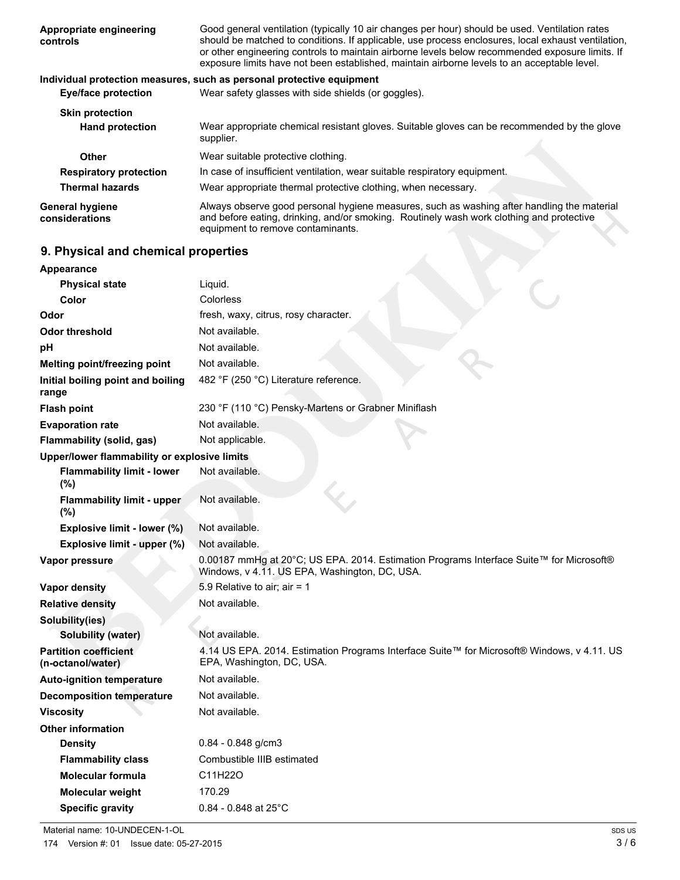| Appropriate engineering<br>controls      | Good general ventilation (typically 10 air changes per hour) should be used. Ventilation rates<br>should be matched to conditions. If applicable, use process enclosures, local exhaust ventilation,<br>or other engineering controls to maintain airborne levels below recommended exposure limits. If<br>exposure limits have not been established, maintain airborne levels to an acceptable level. |
|------------------------------------------|--------------------------------------------------------------------------------------------------------------------------------------------------------------------------------------------------------------------------------------------------------------------------------------------------------------------------------------------------------------------------------------------------------|
|                                          | Individual protection measures, such as personal protective equipment                                                                                                                                                                                                                                                                                                                                  |
| Eye/face protection                      | Wear safety glasses with side shields (or goggles).                                                                                                                                                                                                                                                                                                                                                    |
| <b>Skin protection</b>                   |                                                                                                                                                                                                                                                                                                                                                                                                        |
| <b>Hand protection</b>                   | Wear appropriate chemical resistant gloves. Suitable gloves can be recommended by the glove<br>supplier.                                                                                                                                                                                                                                                                                               |
| <b>Other</b>                             | Wear suitable protective clothing.                                                                                                                                                                                                                                                                                                                                                                     |
| <b>Respiratory protection</b>            | In case of insufficient ventilation, wear suitable respiratory equipment.                                                                                                                                                                                                                                                                                                                              |
| <b>Thermal hazards</b>                   | Wear appropriate thermal protective clothing, when necessary.                                                                                                                                                                                                                                                                                                                                          |
| <b>General hygiene</b><br>considerations | Always observe good personal hygiene measures, such as washing after handling the material<br>and before eating, drinking, and/or smoking. Routinely wash work clothing and protective<br>equipment to remove contaminants.                                                                                                                                                                            |
| 9. Physical and chemical properties      |                                                                                                                                                                                                                                                                                                                                                                                                        |
| Appearance                               |                                                                                                                                                                                                                                                                                                                                                                                                        |
|                                          |                                                                                                                                                                                                                                                                                                                                                                                                        |

## **9. Physical and chemical properties**

| <b>Appearance</b>                                 |                                                                                                                                          |
|---------------------------------------------------|------------------------------------------------------------------------------------------------------------------------------------------|
| <b>Physical state</b>                             | Liquid.                                                                                                                                  |
| Color                                             | Colorless                                                                                                                                |
| Odor                                              | fresh, waxy, citrus, rosy character.                                                                                                     |
| <b>Odor threshold</b>                             | Not available.                                                                                                                           |
| рH                                                | Not available.                                                                                                                           |
| Melting point/freezing point                      | Not available.                                                                                                                           |
| Initial boiling point and boiling<br>range        | 482 °F (250 °C) Literature reference.                                                                                                    |
| <b>Flash point</b>                                | 230 °F (110 °C) Pensky-Martens or Grabner Miniflash                                                                                      |
| <b>Evaporation rate</b>                           | Not available.                                                                                                                           |
| Flammability (solid, gas)                         | Not applicable.                                                                                                                          |
| Upper/lower flammability or explosive limits      |                                                                                                                                          |
| <b>Flammability limit - lower</b><br>(%)          | Not available.                                                                                                                           |
| <b>Flammability limit - upper</b><br>(%)          | Not available.                                                                                                                           |
| Explosive limit - lower (%)                       | Not available.                                                                                                                           |
| Explosive limit - upper (%)                       | Not available.                                                                                                                           |
| Vapor pressure                                    | 0.00187 mmHg at 20°C; US EPA. 2014. Estimation Programs Interface Suite™ for Microsoft®<br>Windows, v 4.11. US EPA, Washington, DC, USA. |
| <b>Vapor density</b>                              | 5.9 Relative to air; air = 1                                                                                                             |
| <b>Relative density</b>                           | Not available.                                                                                                                           |
| Solubility(ies)                                   |                                                                                                                                          |
| <b>Solubility (water)</b>                         | Not available.                                                                                                                           |
| <b>Partition coefficient</b><br>(n-octanol/water) | 4.14 US EPA. 2014. Estimation Programs Interface Suite™ for Microsoft® Windows, v 4.11. US<br>EPA, Washington, DC, USA.                  |
| <b>Auto-ignition temperature</b>                  | Not available.                                                                                                                           |
| <b>Decomposition temperature</b>                  | Not available.                                                                                                                           |
| <b>Viscosity</b>                                  | Not available.                                                                                                                           |
| <b>Other information</b>                          |                                                                                                                                          |
| <b>Density</b>                                    | $0.84 - 0.848$ g/cm3                                                                                                                     |
| <b>Flammability class</b>                         | Combustible IIIB estimated                                                                                                               |
| <b>Molecular formula</b>                          | C11H22O                                                                                                                                  |
| Molecular weight                                  | 170.29                                                                                                                                   |
| <b>Specific gravity</b>                           | $0.84 - 0.848$ at 25°C                                                                                                                   |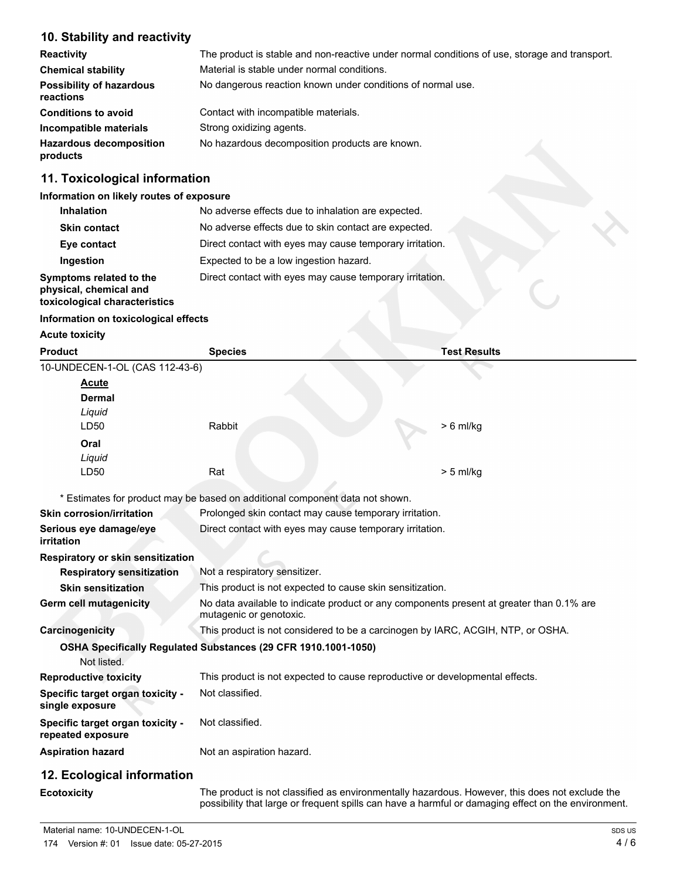#### **10. Stability and reactivity**

| <b>Reactivity</b>                            | The product is stable and non-reactive under normal conditions of use, storage and transport. |
|----------------------------------------------|-----------------------------------------------------------------------------------------------|
| <b>Chemical stability</b>                    | Material is stable under normal conditions.                                                   |
| <b>Possibility of hazardous</b><br>reactions | No dangerous reaction known under conditions of normal use.                                   |
| <b>Conditions to avoid</b>                   | Contact with incompatible materials.                                                          |
| Incompatible materials                       | Strong oxidizing agents.                                                                      |
| <b>Hazardous decomposition</b><br>products   | No hazardous decomposition products are known.                                                |

## **11. Toxicological information**

#### **Information on likely routes of exposure**

| <b>Inhalation</b>                                                                  | No adverse effects due to inhalation are expected.       |  |
|------------------------------------------------------------------------------------|----------------------------------------------------------|--|
| <b>Skin contact</b>                                                                | No adverse effects due to skin contact are expected.     |  |
| Eye contact                                                                        | Direct contact with eyes may cause temporary irritation. |  |
| Ingestion                                                                          | Expected to be a low ingestion hazard.                   |  |
| Symptoms related to the<br>physical, chemical and<br>toxicological characteristics | Direct contact with eyes may cause temporary irritation. |  |

#### **Information on toxicological effects**

**Acute toxicity**

| <b>Product</b>                                        | <b>Species</b>                                                                                                      | <b>Test Results</b> |
|-------------------------------------------------------|---------------------------------------------------------------------------------------------------------------------|---------------------|
| 10-UNDECEN-1-OL (CAS 112-43-6)                        |                                                                                                                     |                     |
| <b>Acute</b>                                          |                                                                                                                     |                     |
| Dermal                                                |                                                                                                                     |                     |
| Liguid                                                |                                                                                                                     |                     |
| LD50                                                  | Rabbit                                                                                                              | $> 6$ ml/kg         |
| Oral                                                  |                                                                                                                     |                     |
| Liquid                                                |                                                                                                                     |                     |
| LD50                                                  | Rat                                                                                                                 | $> 5$ ml/kg         |
|                                                       | * Estimates for product may be based on additional component data not shown.                                        |                     |
| <b>Skin corrosion/irritation</b>                      | Prolonged skin contact may cause temporary irritation.                                                              |                     |
| Serious eye damage/eye<br>irritation                  | Direct contact with eyes may cause temporary irritation.                                                            |                     |
| Respiratory or skin sensitization                     |                                                                                                                     |                     |
| <b>Respiratory sensitization</b>                      | Not a respiratory sensitizer.                                                                                       |                     |
| <b>Skin sensitization</b>                             | This product is not expected to cause skin sensitization.                                                           |                     |
| <b>Germ cell mutagenicity</b>                         | No data available to indicate product or any components present at greater than 0.1% are<br>mutagenic or genotoxic. |                     |
| Carcinogenicity                                       | This product is not considered to be a carcinogen by IARC, ACGIH, NTP, or OSHA.                                     |                     |
| Not listed.                                           | OSHA Specifically Regulated Substances (29 CFR 1910.1001-1050)                                                      |                     |
| <b>Reproductive toxicity</b>                          | This product is not expected to cause reproductive or developmental effects.                                        |                     |
| Specific target organ toxicity -<br>single exposure   | Not classified.                                                                                                     |                     |
| Specific target organ toxicity -<br>repeated exposure | Not classified.                                                                                                     |                     |
| <b>Aspiration hazard</b>                              | Not an aspiration hazard.                                                                                           |                     |
| 12. Ecological information                            |                                                                                                                     |                     |

**Ecotoxicity** The product is not classified as environmentally hazardous. However, this does not exclude the possibility that large or frequent spills can have a harmful or damaging effect on the environment.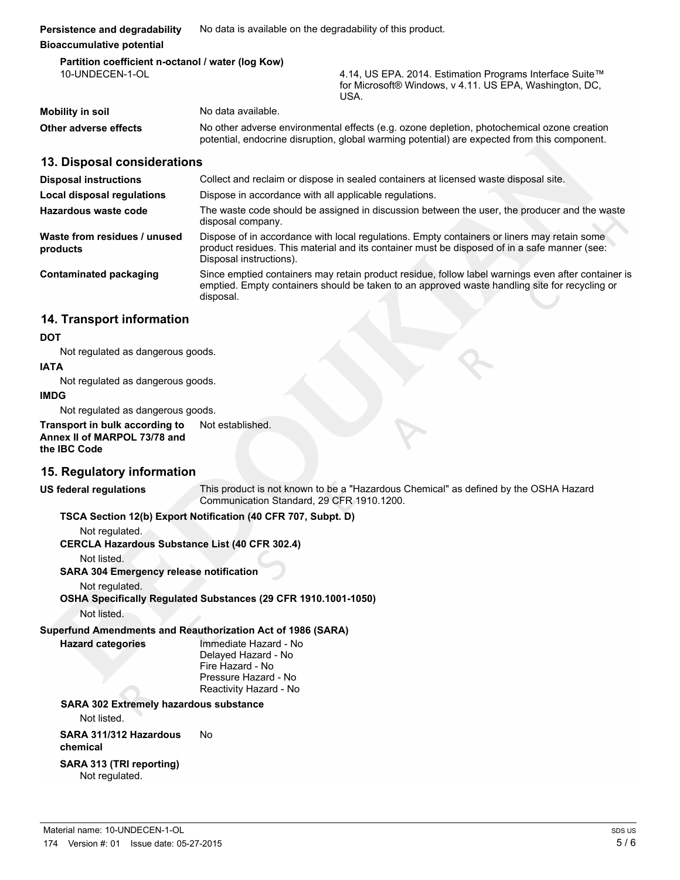#### **Bioaccumulative potential Partition coefficient n-octanol / water (log Kow)**

| 10-UNDECEN-1-OL       |                                                                                                                                                                                            | 4.14, US EPA. 2014. Estimation Programs Interface Suite™<br>for Microsoft® Windows, v 4.11. US EPA, Washington, DC,<br>USA. |
|-----------------------|--------------------------------------------------------------------------------------------------------------------------------------------------------------------------------------------|-----------------------------------------------------------------------------------------------------------------------------|
| Mobility in soil      | No data available.                                                                                                                                                                         |                                                                                                                             |
| Other adverse effects | No other adverse environmental effects (e.g. ozone depletion, photochemical ozone creation<br>potential, endocrine disruption, global warming potential) are expected from this component. |                                                                                                                             |

### **13. Disposal considerations**

| <b>Disposal instructions</b>             | Collect and reclaim or dispose in sealed containers at licensed waste disposal site.                                                                                                                                   |
|------------------------------------------|------------------------------------------------------------------------------------------------------------------------------------------------------------------------------------------------------------------------|
| <b>Local disposal regulations</b>        | Dispose in accordance with all applicable regulations.                                                                                                                                                                 |
| Hazardous waste code                     | The waste code should be assigned in discussion between the user, the producer and the waste<br>disposal company.                                                                                                      |
| Waste from residues / unused<br>products | Dispose of in accordance with local regulations. Empty containers or liners may retain some<br>product residues. This material and its container must be disposed of in a safe manner (see:<br>Disposal instructions). |
| Contaminated packaging                   | Since emptied containers may retain product residue, follow label warnings even after container is<br>emptied. Empty containers should be taken to an approved waste handling site for recycling or<br>disposal.       |

## **14. Transport information**

#### **DOT**

Not regulated as dangerous goods.

#### **IATA**

Not regulated as dangerous goods.

#### **IMDG**

Not regulated as dangerous goods.

#### **Transport in bulk according to** Not established. **Annex II of MARPOL 73/78 and the IBC Code**

## **15. Regulatory information**

**US federal regulations** This product is not known to be a "Hazardous Chemical" as defined by the OSHA Hazard Communication Standard, 29 CFR 1910.1200.

#### **TSCA Section 12(b) Export Notification (40 CFR 707, Subpt. D)**

Not regulated.

**CERCLA Hazardous Substance List (40 CFR 302.4)**

Not listed.

**SARA 304 Emergency release notification**

Not regulated.

**OSHA Specifically Regulated Substances (29 CFR 1910.1001-1050)**

Not listed.

## **Superfund Amendments and Reauthorization Act of 1986 (SARA)**

**Hazard categories** Immediate Hazard - No

Delayed Hazard - No Fire Hazard - No Pressure Hazard - No Reactivity Hazard - No

## **SARA 302 Extremely hazardous substance**

Not listed.

**SARA 311/312 Hazardous chemical** No

## **SARA 313 (TRI reporting)**

Not regulated.